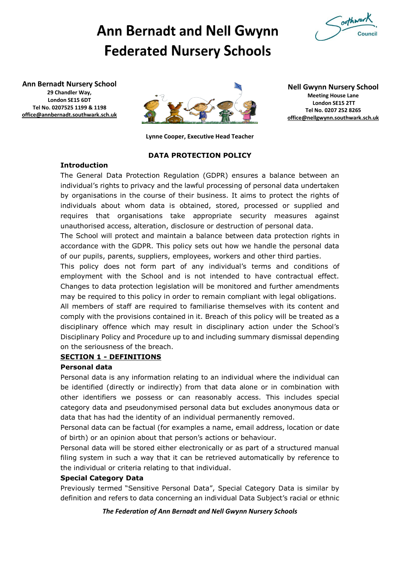

# **Ann Bernadt and Nell Gwynn Federated Nursery Schools**

**Ann Bernadt Nursery School 29 Chandler Way, London SE15 6DT Tel No. 0207525 1199 & 1198 [office@annbernadt.southwark.sch.uk](mailto:office@annbernadt.southwark.sch.uk)**



**Nell Gwynn Nursery School Meeting House Lane London SE15 2TT Tel No. 0207 252 8265 [office@nellgwynn.southwark.sch.uk](mailto:office@nellgwynn.southwark.sch.uk)**

**Lynne Cooper, Executive Head Teacher**

## **DATA PROTECTION POLICY**

## **Introduction**

The General Data Protection Regulation (GDPR) ensures a balance between an individual's rights to privacy and the lawful processing of personal data undertaken by organisations in the course of their business. It aims to protect the rights of individuals about whom data is obtained, stored, processed or supplied and requires that organisations take appropriate security measures against unauthorised access, alteration, disclosure or destruction of personal data.

The School will protect and maintain a balance between data protection rights in accordance with the GDPR. This policy sets out how we handle the personal data of our pupils, parents, suppliers, employees, workers and other third parties.

This policy does not form part of any individual's terms and conditions of employment with the School and is not intended to have contractual effect. Changes to data protection legislation will be monitored and further amendments may be required to this policy in order to remain compliant with legal obligations.

All members of staff are required to familiarise themselves with its content and comply with the provisions contained in it. Breach of this policy will be treated as a disciplinary offence which may result in disciplinary action under the School's Disciplinary Policy and Procedure up to and including summary dismissal depending on the seriousness of the breach.

## **SECTION 1 - DEFINITIONS**

## **Personal data**

Personal data is any information relating to an individual where the individual can be identified (directly or indirectly) from that data alone or in combination with other identifiers we possess or can reasonably access. This includes special category data and pseudonymised personal data but excludes anonymous data or data that has had the identity of an individual permanently removed.

Personal data can be factual (for examples a name, email address, location or date of birth) or an opinion about that person's actions or behaviour.

Personal data will be stored either electronically or as part of a structured manual filing system in such a way that it can be retrieved automatically by reference to the individual or criteria relating to that individual.

## **Special Category Data**

Previously termed "Sensitive Personal Data", Special Category Data is similar by definition and refers to data concerning an individual Data Subject's racial or ethnic

## *The Federation of Ann Bernadt and Nell Gwynn Nursery Schools*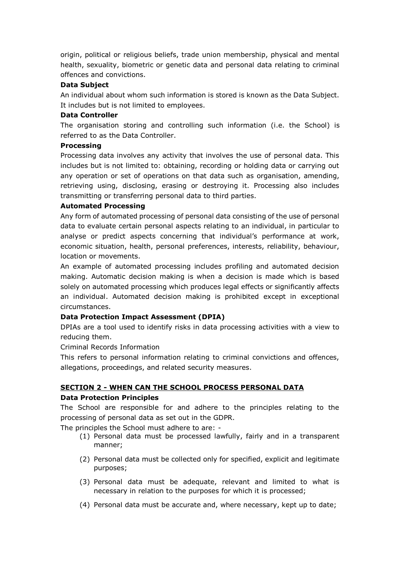origin, political or religious beliefs, trade union membership, physical and mental health, sexuality, biometric or genetic data and personal data relating to criminal offences and convictions.

## **Data Subject**

An individual about whom such information is stored is known as the Data Subject. It includes but is not limited to employees.

## **Data Controller**

The organisation storing and controlling such information (i.e. the School) is referred to as the Data Controller.

## **Processing**

Processing data involves any activity that involves the use of personal data. This includes but is not limited to: obtaining, recording or holding data or carrying out any operation or set of operations on that data such as organisation, amending, retrieving using, disclosing, erasing or destroying it. Processing also includes transmitting or transferring personal data to third parties.

## **Automated Processing**

Any form of automated processing of personal data consisting of the use of personal data to evaluate certain personal aspects relating to an individual, in particular to analyse or predict aspects concerning that individual's performance at work, economic situation, health, personal preferences, interests, reliability, behaviour, location or movements.

An example of automated processing includes profiling and automated decision making. Automatic decision making is when a decision is made which is based solely on automated processing which produces legal effects or significantly affects an individual. Automated decision making is prohibited except in exceptional circumstances.

## **Data Protection Impact Assessment (DPIA)**

DPIAs are a tool used to identify risks in data processing activities with a view to reducing them.

Criminal Records Information

This refers to personal information relating to criminal convictions and offences, allegations, proceedings, and related security measures.

## **SECTION 2 - WHEN CAN THE SCHOOL PROCESS PERSONAL DATA**

#### **Data Protection Principles**

The School are responsible for and adhere to the principles relating to the processing of personal data as set out in the GDPR.

The principles the School must adhere to are: -

- (1) Personal data must be processed lawfully, fairly and in a transparent manner;
- (2) Personal data must be collected only for specified, explicit and legitimate purposes;
- (3) Personal data must be adequate, relevant and limited to what is necessary in relation to the purposes for which it is processed;
- (4) Personal data must be accurate and, where necessary, kept up to date;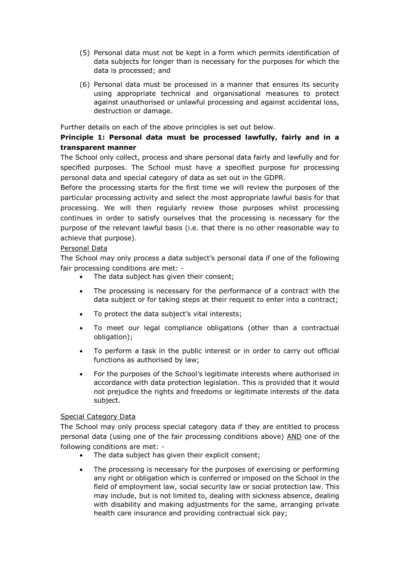- (5) Personal data must not be kept in a form which permits identification of data subjects for longer than is necessary for the purposes for which the data is processed; and
- (6) Personal data must be processed in a manner that ensures its security using appropriate technical and organisational measures to protect against unauthorised or unlawful processing and against accidental loss, destruction or damage.

Further details on each of the above principles is set out below.

## **Principle 1: Personal data must be processed lawfully, fairly and in a transparent manner**

The School only collect, process and share personal data fairly and lawfully and for specified purposes. The School must have a specified purpose for processing personal data and special category of data as set out in the GDPR.

Before the processing starts for the first time we will review the purposes of the particular processing activity and select the most appropriate lawful basis for that processing. We will then regularly review those purposes whilst processing continues in order to satisfy ourselves that the processing is necessary for the purpose of the relevant lawful basis (i.e. that there is no other reasonable way to achieve that purpose).

## Personal Data

The School may only process a data subject's personal data if one of the following fair processing conditions are met: -

- The data subject has given their consent;
- The processing is necessary for the performance of a contract with the data subject or for taking steps at their request to enter into a contract;
- To protect the data subject's vital interests;
- To meet our legal compliance obligations (other than a contractual obligation);
- To perform a task in the public interest or in order to carry out official functions as authorised by law;
- For the purposes of the School's legitimate interests where authorised in accordance with data protection legislation. This is provided that it would not prejudice the rights and freedoms or legitimate interests of the data subject.

## Special Category Data

The School may only process special category data if they are entitled to process personal data (using one of the fair processing conditions above) AND one of the following conditions are met: -

- The data subject has given their explicit consent;
- The processing is necessary for the purposes of exercising or performing any right or obligation which is conferred or imposed on the School in the field of employment law, social security law or social protection law. This may include, but is not limited to, dealing with sickness absence, dealing with disability and making adjustments for the same, arranging private health care insurance and providing contractual sick pay;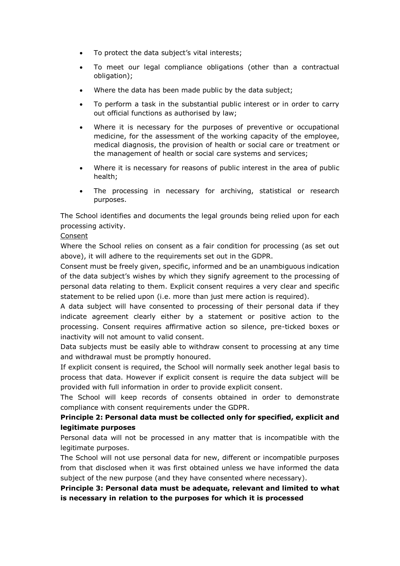- To protect the data subject's vital interests;
- To meet our legal compliance obligations (other than a contractual obligation);
- Where the data has been made public by the data subject;
- To perform a task in the substantial public interest or in order to carry out official functions as authorised by law;
- Where it is necessary for the purposes of preventive or occupational medicine, for the assessment of the working capacity of the employee, medical diagnosis, the provision of health or social care or treatment or the management of health or social care systems and services;
- Where it is necessary for reasons of public interest in the area of public health;
- The processing in necessary for archiving, statistical or research purposes.

The School identifies and documents the legal grounds being relied upon for each processing activity.

## Consent

Where the School relies on consent as a fair condition for processing (as set out above), it will adhere to the requirements set out in the GDPR.

Consent must be freely given, specific, informed and be an unambiguous indication of the data subject's wishes by which they signify agreement to the processing of personal data relating to them. Explicit consent requires a very clear and specific statement to be relied upon (i.e. more than just mere action is required).

A data subject will have consented to processing of their personal data if they indicate agreement clearly either by a statement or positive action to the processing. Consent requires affirmative action so silence, pre-ticked boxes or inactivity will not amount to valid consent.

Data subjects must be easily able to withdraw consent to processing at any time and withdrawal must be promptly honoured.

If explicit consent is required, the School will normally seek another legal basis to process that data. However if explicit consent is require the data subject will be provided with full information in order to provide explicit consent.

The School will keep records of consents obtained in order to demonstrate compliance with consent requirements under the GDPR.

## **Principle 2: Personal data must be collected only for specified, explicit and legitimate purposes**

Personal data will not be processed in any matter that is incompatible with the legitimate purposes.

The School will not use personal data for new, different or incompatible purposes from that disclosed when it was first obtained unless we have informed the data subject of the new purpose (and they have consented where necessary).

**Principle 3: Personal data must be adequate, relevant and limited to what is necessary in relation to the purposes for which it is processed**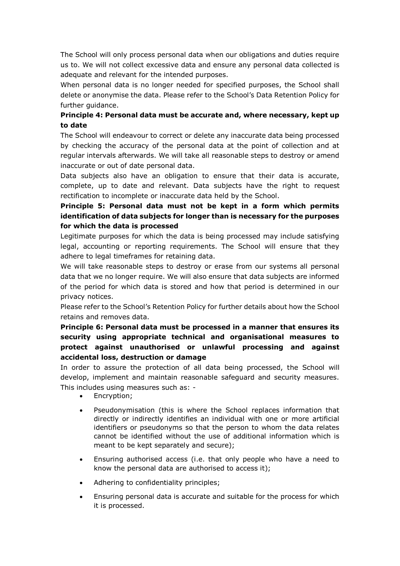The School will only process personal data when our obligations and duties require us to. We will not collect excessive data and ensure any personal data collected is adequate and relevant for the intended purposes.

When personal data is no longer needed for specified purposes, the School shall delete or anonymise the data. Please refer to the School's Data Retention Policy for further guidance.

## **Principle 4: Personal data must be accurate and, where necessary, kept up to date**

The School will endeavour to correct or delete any inaccurate data being processed by checking the accuracy of the personal data at the point of collection and at regular intervals afterwards. We will take all reasonable steps to destroy or amend inaccurate or out of date personal data.

Data subjects also have an obligation to ensure that their data is accurate, complete, up to date and relevant. Data subjects have the right to request rectification to incomplete or inaccurate data held by the School.

## **Principle 5: Personal data must not be kept in a form which permits identification of data subjects for longer than is necessary for the purposes for which the data is processed**

Legitimate purposes for which the data is being processed may include satisfying legal, accounting or reporting requirements. The School will ensure that they adhere to legal timeframes for retaining data.

We will take reasonable steps to destroy or erase from our systems all personal data that we no longer require. We will also ensure that data subjects are informed of the period for which data is stored and how that period is determined in our privacy notices.

Please refer to the School's Retention Policy for further details about how the School retains and removes data.

## **Principle 6: Personal data must be processed in a manner that ensures its security using appropriate technical and organisational measures to protect against unauthorised or unlawful processing and against accidental loss, destruction or damage**

In order to assure the protection of all data being processed, the School will develop, implement and maintain reasonable safeguard and security measures. This includes using measures such as: -

- Encryption;
- Pseudonymisation (this is where the School replaces information that directly or indirectly identifies an individual with one or more artificial identifiers or pseudonyms so that the person to whom the data relates cannot be identified without the use of additional information which is meant to be kept separately and secure);
- Ensuring authorised access (i.e. that only people who have a need to know the personal data are authorised to access it);
- Adhering to confidentiality principles;
- Ensuring personal data is accurate and suitable for the process for which it is processed.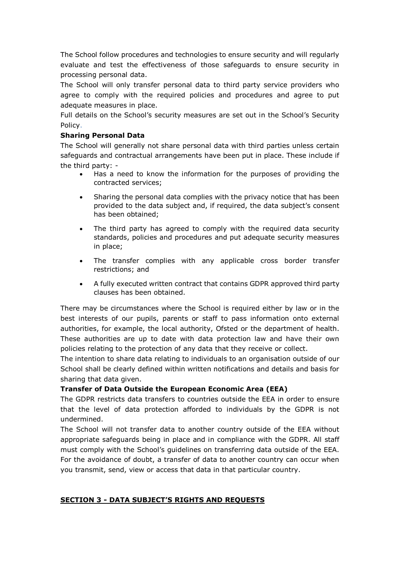The School follow procedures and technologies to ensure security and will regularly evaluate and test the effectiveness of those safeguards to ensure security in processing personal data.

The School will only transfer personal data to third party service providers who agree to comply with the required policies and procedures and agree to put adequate measures in place.

Full details on the School's security measures are set out in the School's Security Policy.

## **Sharing Personal Data**

The School will generally not share personal data with third parties unless certain safeguards and contractual arrangements have been put in place. These include if the third party: -

- Has a need to know the information for the purposes of providing the contracted services;
- Sharing the personal data complies with the privacy notice that has been provided to the data subject and, if required, the data subject's consent has been obtained;
- The third party has agreed to comply with the required data security standards, policies and procedures and put adequate security measures in place;
- The transfer complies with any applicable cross border transfer restrictions; and
- A fully executed written contract that contains GDPR approved third party clauses has been obtained.

There may be circumstances where the School is required either by law or in the best interests of our pupils, parents or staff to pass information onto external authorities, for example, the local authority, Ofsted or the department of health. These authorities are up to date with data protection law and have their own policies relating to the protection of any data that they receive or collect.

The intention to share data relating to individuals to an organisation outside of our School shall be clearly defined within written notifications and details and basis for sharing that data given.

## **Transfer of Data Outside the European Economic Area (EEA)**

The GDPR restricts data transfers to countries outside the EEA in order to ensure that the level of data protection afforded to individuals by the GDPR is not undermined.

The School will not transfer data to another country outside of the EEA without appropriate safeguards being in place and in compliance with the GDPR. All staff must comply with the School's guidelines on transferring data outside of the EEA. For the avoidance of doubt, a transfer of data to another country can occur when you transmit, send, view or access that data in that particular country.

## **SECTION 3 - DATA SUBJECT'S RIGHTS AND REQUESTS**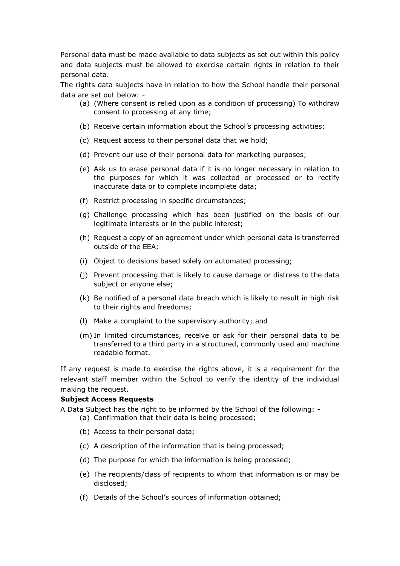Personal data must be made available to data subjects as set out within this policy and data subjects must be allowed to exercise certain rights in relation to their personal data.

The rights data subjects have in relation to how the School handle their personal data are set out below: -

- (a) (Where consent is relied upon as a condition of processing) To withdraw consent to processing at any time;
- (b) Receive certain information about the School's processing activities;
- (c) Request access to their personal data that we hold;
- (d) Prevent our use of their personal data for marketing purposes;
- (e) Ask us to erase personal data if it is no longer necessary in relation to the purposes for which it was collected or processed or to rectify inaccurate data or to complete incomplete data;
- (f) Restrict processing in specific circumstances;
- (g) Challenge processing which has been justified on the basis of our legitimate interests or in the public interest;
- (h) Request a copy of an agreement under which personal data is transferred outside of the EEA;
- (i) Object to decisions based solely on automated processing;
- (j) Prevent processing that is likely to cause damage or distress to the data subject or anyone else;
- (k) Be notified of a personal data breach which is likely to result in high risk to their rights and freedoms;
- (l) Make a complaint to the supervisory authority; and
- (m) In limited circumstances, receive or ask for their personal data to be transferred to a third party in a structured, commonly used and machine readable format.

If any request is made to exercise the rights above, it is a requirement for the relevant staff member within the School to verify the identity of the individual making the request.

#### **Subject Access Requests**

A Data Subject has the right to be informed by the School of the following: -

- (a) Confirmation that their data is being processed;
	- (b) Access to their personal data;
- (c) A description of the information that is being processed;
- (d) The purpose for which the information is being processed;
- (e) The recipients/class of recipients to whom that information is or may be disclosed;
- (f) Details of the School's sources of information obtained;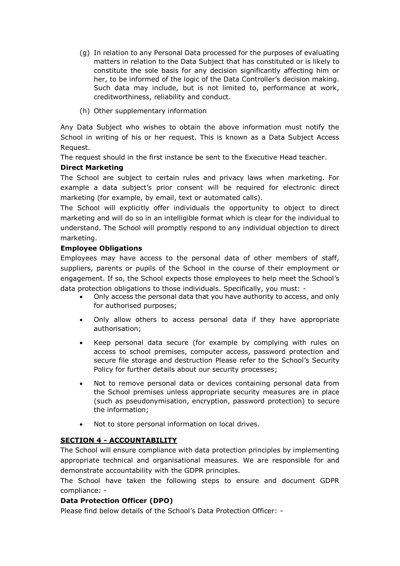- (g) In relation to any Personal Data processed for the purposes of evaluating matters in relation to the Data Subject that has constituted or is likely to constitute the sole basis for any decision significantly affecting him or her, to be informed of the logic of the Data Controller's decision making. Such data may include, but is not limited to, performance at work, creditworthiness, reliability and conduct.
- (h) Other supplementary information

Any Data Subject who wishes to obtain the above information must notify the School in writing of his or her request. This is known as a Data Subject Access Request.

The request should in the first instance be sent to the Executive Head teacher.

## **Direct Marketing**

The School are subject to certain rules and privacy laws when marketing. For example a data subject's prior consent will be required for electronic direct marketing (for example, by email, text or automated calls).

The School will explicitly offer individuals the opportunity to object to direct marketing and will do so in an intelligible format which is clear for the individual to understand. The School will promptly respond to any individual objection to direct marketing.

## **Employee Obligations**

Employees may have access to the personal data of other members of staff, suppliers, parents or pupils of the School in the course of their employment or engagement. If so, the School expects those employees to help meet the School's data protection obligations to those individuals. Specifically, you must: -

- Only access the personal data that you have authority to access, and only for authorised purposes;
- Only allow others to access personal data if they have appropriate authorisation;
- Keep personal data secure (for example by complying with rules on access to school premises, computer access, password protection and secure file storage and destruction Please refer to the School's Security Policy for further details about our security processes;
- Not to remove personal data or devices containing personal data from the School premises unless appropriate security measures are in place (such as pseudonymisation, encryption, password protection) to secure the information;
- Not to store personal information on local drives.

## **SECTION 4 - ACCOUNTABILITY**

The School will ensure compliance with data protection principles by implementing appropriate technical and organisational measures. We are responsible for and demonstrate accountability with the GDPR principles.

The School have taken the following steps to ensure and document GDPR compliance: -

## **Data Protection Officer (DPO)**

Please find below details of the School's Data Protection Officer: -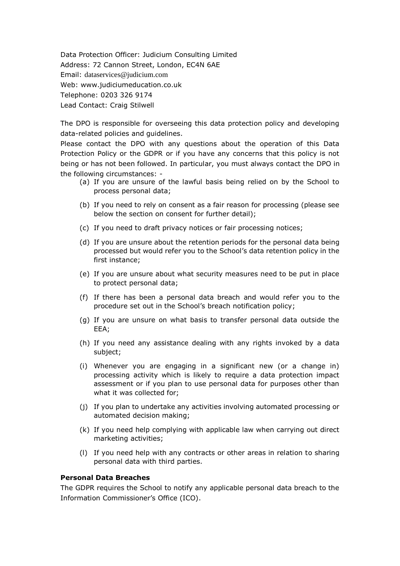Data Protection Officer: Judicium Consulting Limited Address: 72 Cannon Street, London, EC4N 6AE Email: [dataservices@judicium.com](mailto:dataservices@judicium.com) Web: www.judiciumeducation.co.uk Telephone: 0203 326 9174 Lead Contact: Craig Stilwell

The DPO is responsible for overseeing this data protection policy and developing data-related policies and guidelines.

Please contact the DPO with any questions about the operation of this Data Protection Policy or the GDPR or if you have any concerns that this policy is not being or has not been followed. In particular, you must always contact the DPO in the following circumstances: -

- (a) If you are unsure of the lawful basis being relied on by the School to process personal data;
- (b) If you need to rely on consent as a fair reason for processing (please see below the section on consent for further detail);
- (c) If you need to draft privacy notices or fair processing notices;
- (d) If you are unsure about the retention periods for the personal data being processed but would refer you to the School's data retention policy in the first instance;
- (e) If you are unsure about what security measures need to be put in place to protect personal data;
- (f) If there has been a personal data breach and would refer you to the procedure set out in the School's breach notification policy;
- (g) If you are unsure on what basis to transfer personal data outside the EEA;
- (h) If you need any assistance dealing with any rights invoked by a data subject;
- (i) Whenever you are engaging in a significant new (or a change in) processing activity which is likely to require a data protection impact assessment or if you plan to use personal data for purposes other than what it was collected for;
- (j) If you plan to undertake any activities involving automated processing or automated decision making;
- (k) If you need help complying with applicable law when carrying out direct marketing activities;
- (l) If you need help with any contracts or other areas in relation to sharing personal data with third parties.

#### **Personal Data Breaches**

The GDPR requires the School to notify any applicable personal data breach to the Information Commissioner's Office (ICO).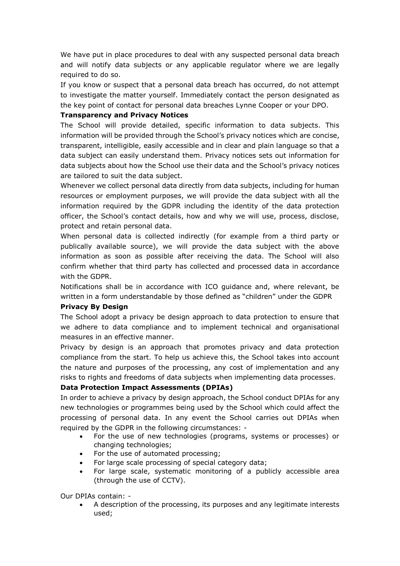We have put in place procedures to deal with any suspected personal data breach and will notify data subjects or any applicable regulator where we are legally required to do so.

If you know or suspect that a personal data breach has occurred, do not attempt to investigate the matter yourself. Immediately contact the person designated as the key point of contact for personal data breaches Lynne Cooper or your DPO.

## **Transparency and Privacy Notices**

The School will provide detailed, specific information to data subjects. This information will be provided through the School's privacy notices which are concise, transparent, intelligible, easily accessible and in clear and plain language so that a data subject can easily understand them. Privacy notices sets out information for data subjects about how the School use their data and the School's privacy notices are tailored to suit the data subject.

Whenever we collect personal data directly from data subjects, including for human resources or employment purposes, we will provide the data subject with all the information required by the GDPR including the identity of the data protection officer, the School's contact details, how and why we will use, process, disclose, protect and retain personal data.

When personal data is collected indirectly (for example from a third party or publically available source), we will provide the data subject with the above information as soon as possible after receiving the data. The School will also confirm whether that third party has collected and processed data in accordance with the GDPR.

Notifications shall be in accordance with ICO guidance and, where relevant, be written in a form understandable by those defined as "children" under the GDPR

#### **Privacy By Design**

The School adopt a privacy be design approach to data protection to ensure that we adhere to data compliance and to implement technical and organisational measures in an effective manner.

Privacy by design is an approach that promotes privacy and data protection compliance from the start. To help us achieve this, the School takes into account the nature and purposes of the processing, any cost of implementation and any risks to rights and freedoms of data subjects when implementing data processes.

## **Data Protection Impact Assessments (DPIAs)**

In order to achieve a privacy by design approach, the School conduct DPIAs for any new technologies or programmes being used by the School which could affect the processing of personal data. In any event the School carries out DPIAs when required by the GDPR in the following circumstances: -

- For the use of new technologies (programs, systems or processes) or changing technologies;
- For the use of automated processing;
- For large scale processing of special category data;
- For large scale, systematic monitoring of a publicly accessible area (through the use of CCTV).

Our DPIAs contain: -

• A description of the processing, its purposes and any legitimate interests used;